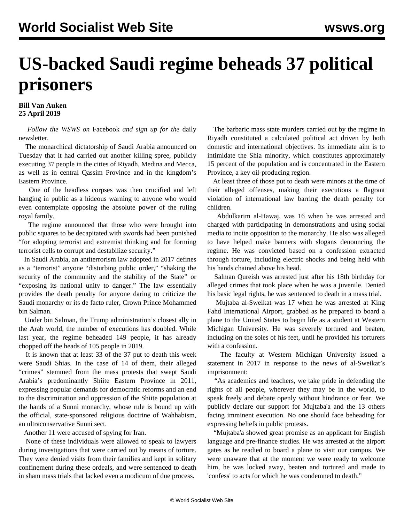## **US-backed Saudi regime beheads 37 political prisoners**

**Bill Van Auken 25 April 2019**

 *Follow the WSWS on* [Facebook](https://www.facebook.com/wsws.org/) *and sign up for the* [daily](/en/special/newsletter.html) [newsletter](/en/special/newsletter.html)*.*

 The monarchical dictatorship of Saudi Arabia announced on Tuesday that it had carried out another killing spree, publicly executing 37 people in the cities of Riyadh, Medina and Mecca, as well as in central Qassim Province and in the kingdom's Eastern Province.

 One of the headless corpses was then crucified and left hanging in public as a hideous warning to anyone who would even contemplate opposing the absolute power of the ruling royal family.

 The regime announced that those who were brought into public squares to be decapitated with swords had been punished "for adopting terrorist and extremist thinking and for forming terrorist cells to corrupt and destabilize security."

 In Saudi Arabia, an antiterrorism law adopted in 2017 defines as a "terrorist" anyone "disturbing public order," "shaking the security of the community and the stability of the State" or "exposing its national unity to danger." The law essentially provides the death penalty for anyone daring to criticize the Saudi monarchy or its de facto ruler, Crown Prince Mohammed bin Salman.

 Under bin Salman, the Trump administration's closest ally in the Arab world, the number of executions has doubled. While last year, the regime beheaded 149 people, it has already chopped off the heads of 105 people in 2019.

 It is known that at least 33 of the 37 put to death this week were Saudi Shias. In the case of 14 of them, their alleged "crimes" stemmed from the mass protests that swept Saudi Arabia's predominantly Shiite Eastern Province in 2011, expressing popular demands for democratic reforms and an end to the discrimination and oppression of the Shiite population at the hands of a Sunni monarchy, whose rule is bound up with the official, state-sponsored religious doctrine of Wahhabism, an ultraconservative Sunni sect.

Another 11 were accused of spying for Iran.

 None of these individuals were allowed to speak to lawyers during investigations that were carried out by means of torture. They were denied visits from their families and kept in solitary confinement during these ordeals, and were sentenced to death in sham mass trials that lacked even a modicum of due process.

 The barbaric mass state murders carried out by the regime in Riyadh constituted a calculated political act driven by both domestic and international objectives. Its immediate aim is to intimidate the Shia minority, which constitutes approximately 15 percent of the population and is concentrated in the Eastern Province, a key oil-producing region.

 At least three of those put to death were minors at the time of their alleged offenses, making their executions a flagrant violation of international law barring the death penalty for children.

 Abdulkarim al-Hawaj, was 16 when he was arrested and charged with participating in demonstrations and using social media to incite opposition to the monarchy. He also was alleged to have helped make banners with slogans denouncing the regime. He was convicted based on a confession extracted through torture, including electric shocks and being held with his hands chained above his head.

 Salman Qureish was arrested just after his 18th birthday for alleged crimes that took place when he was a juvenile. Denied his basic legal rights, he was sentenced to death in a mass trial.

 Mujtaba al-Sweikat was 17 when he was arrested at King Fahd International Airport, grabbed as he prepared to board a plane to the United States to begin life as a student at Western Michigan University. He was severely tortured and beaten, including on the soles of his feet, until he provided his torturers with a confession.

 The faculty at Western Michigan University issued a statement in 2017 in response to the news of al-Sweikat's imprisonment:

 "As academics and teachers, we take pride in defending the rights of all people, wherever they may be in the world, to speak freely and debate openly without hindrance or fear. We publicly declare our support for Mujtaba'a and the 13 others facing imminent execution. No one should face beheading for expressing beliefs in public protests.

 "Mujtaba'a showed great promise as an applicant for English language and pre-finance studies. He was arrested at the airport gates as he readied to board a plane to visit our campus. We were unaware that at the moment we were ready to welcome him, he was locked away, beaten and tortured and made to 'confess' to acts for which he was condemned to death."